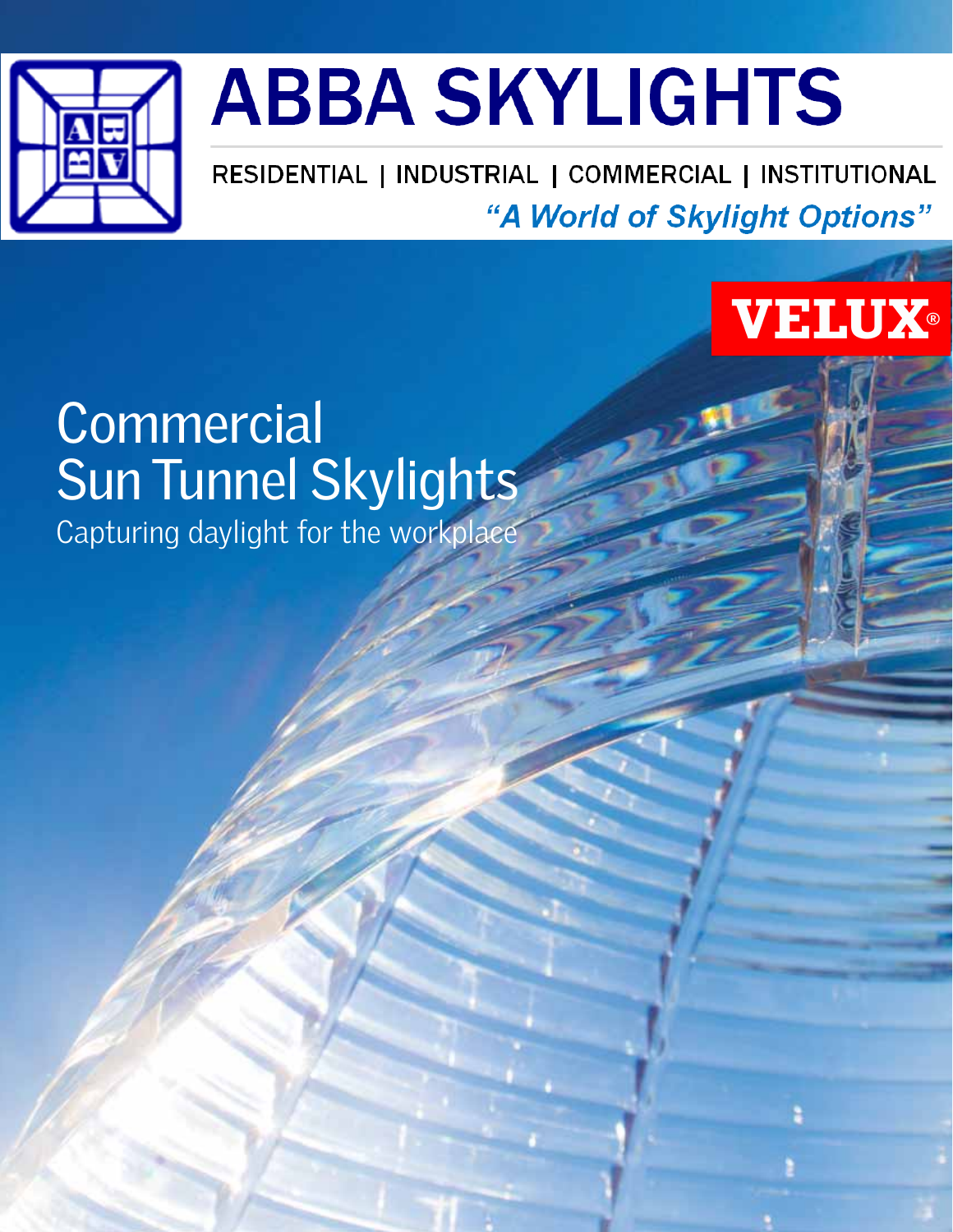

# **ABBA SKYLIGHTS**

RESIDENTIAL | INDUSTRIAL | COMMERCIAL | INSTITUTIONAL "A World of Skylight Options"

## **VELUX®**

## **Commercial** Sun Tunnel Skylights

Capturing daylight for the workplace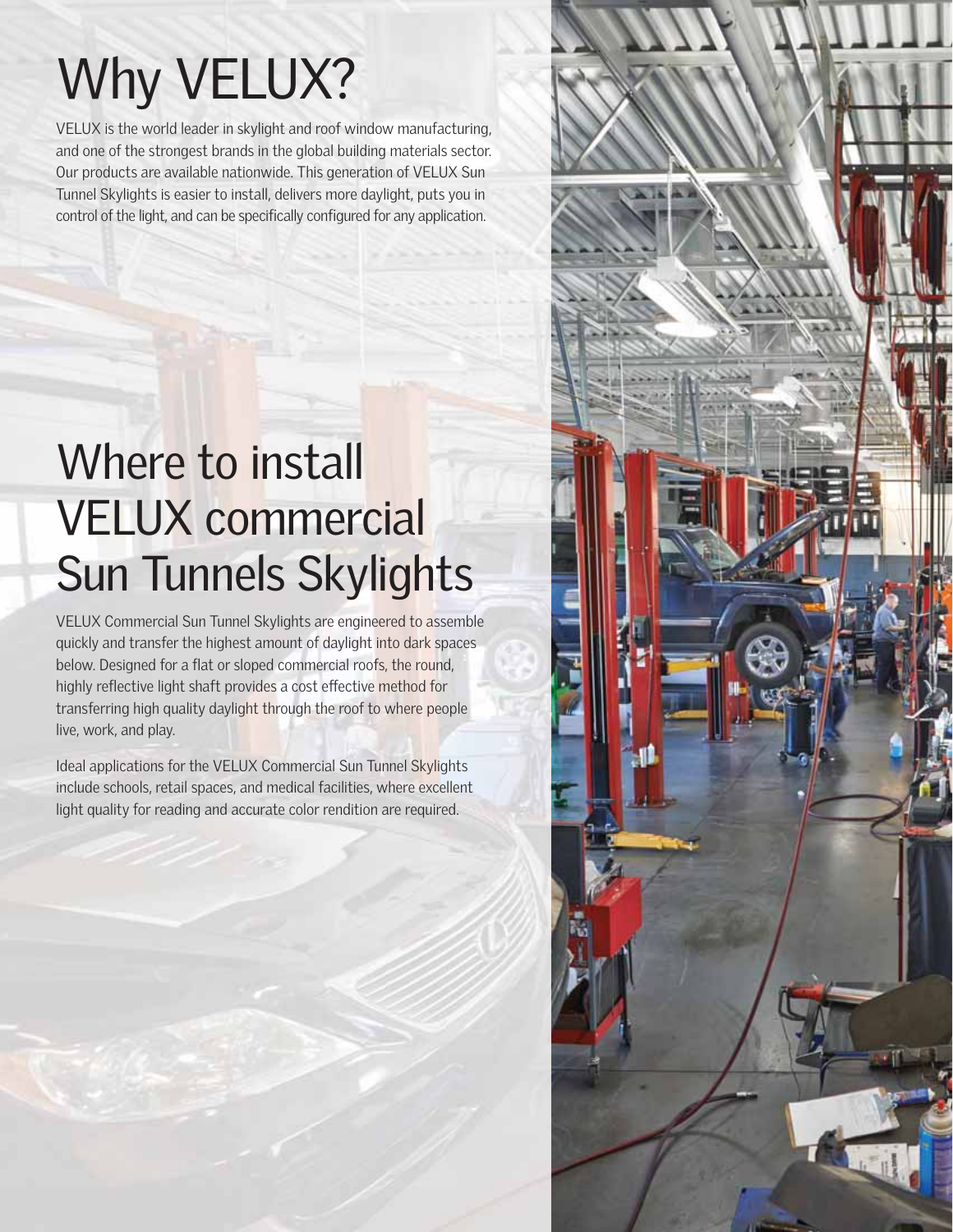## Why VELUX?

VELUX is the world leader in skylight and roof window manufacturing, and one of the strongest brands in the global building materials sector. Our products are available nationwide. This generation of VELUX Sun Tunnel Skylights is easier to install, delivers more daylight, puts you in control of the light, and can be specifically configured for any application.

### Where to install VELUX commercial Sun Tunnels Skylights

VELUX Commercial Sun Tunnel Skylights are engineered to assemble quickly and transfer the highest amount of daylight into dark spaces below. Designed for a flat or sloped commercial roofs, the round, highly reflective light shaft provides a cost effective method for transferring high quality daylight through the roof to where people live, work, and play.

Ideal applications for the VELUX Commercial Sun Tunnel Skylights include schools, retail spaces, and medical facilities, where excellent light quality for reading and accurate color rendition are required.

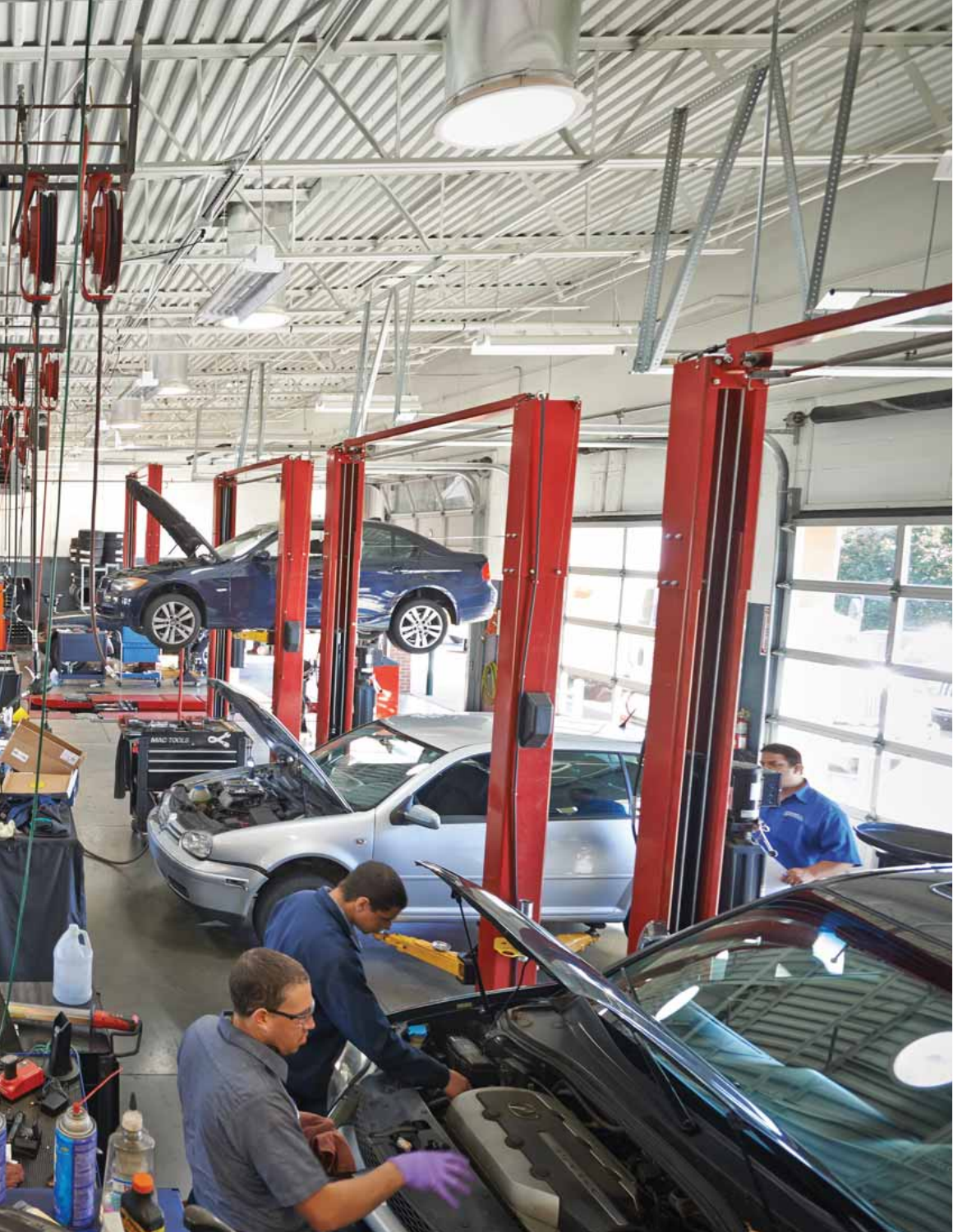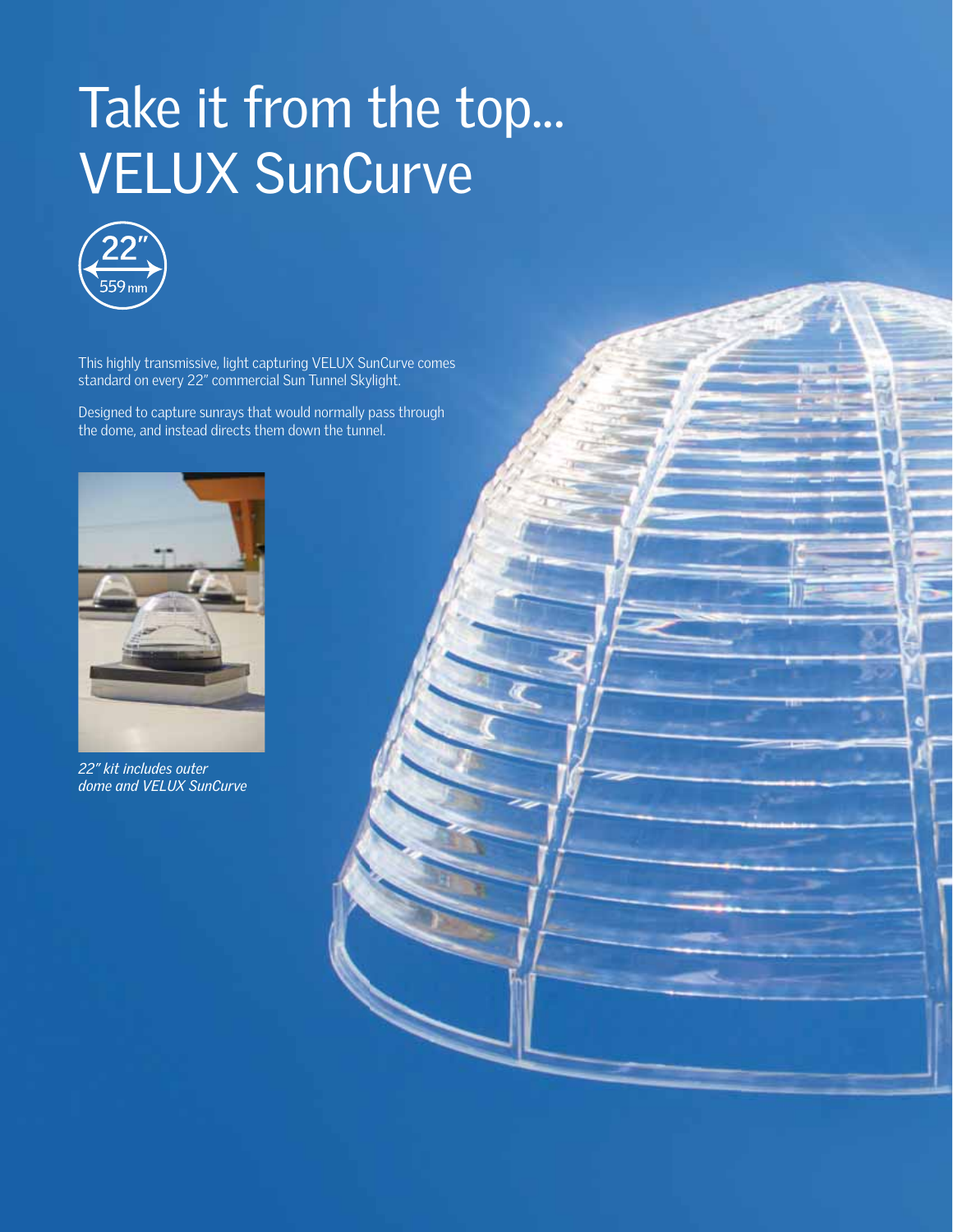## Take it from the top... VELUX SunCurve



This highly transmissive, light capturing VELUX SunCurve comes standard on every 22" commercial Sun Tunnel Skylight.

Designed to capture sunrays that would normally pass through the dome, and instead directs them down the tunnel.



*22" kit includes outer dome and VELUX SunCurve*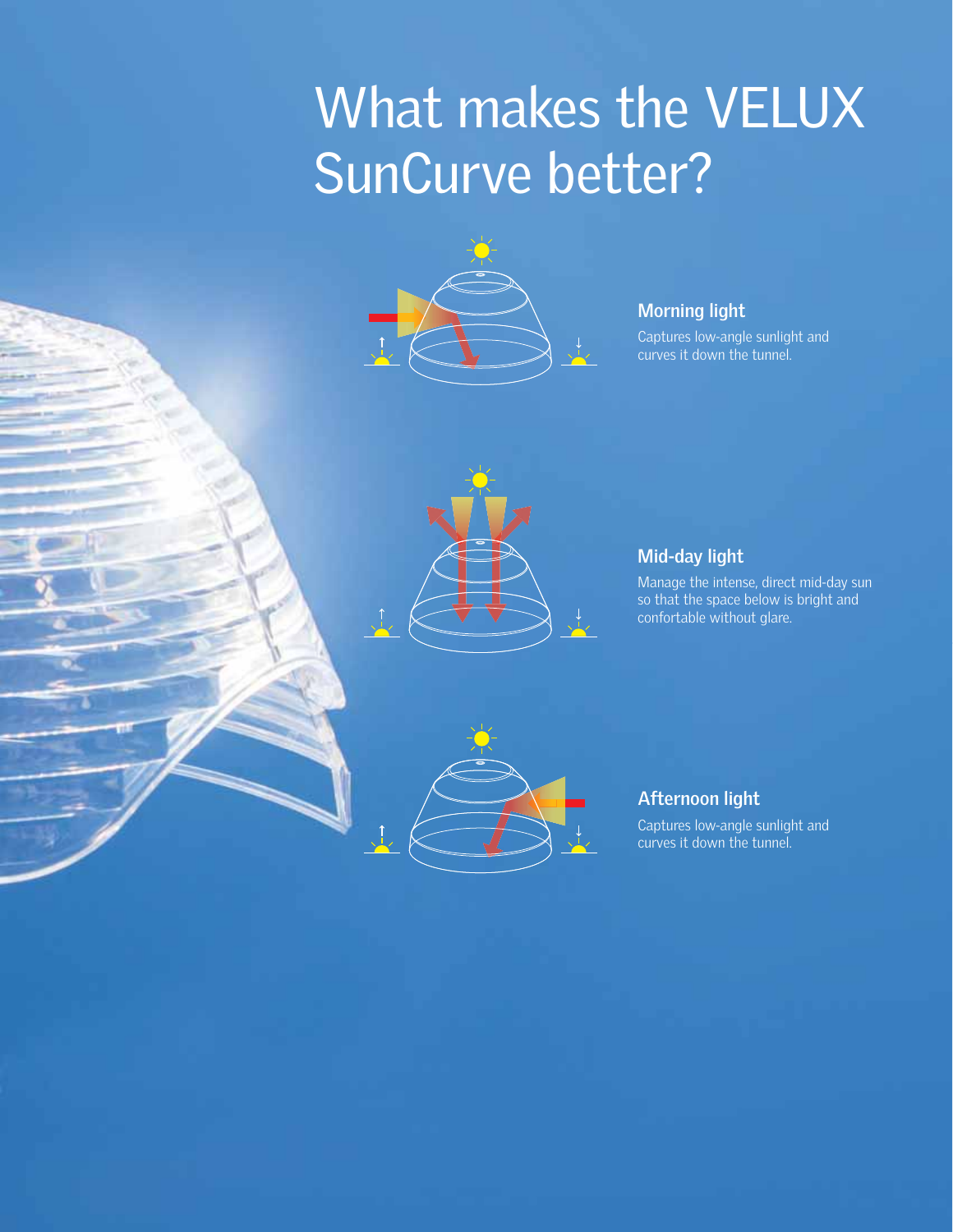## What makes the VELUX SunCurve better?



#### **Morning light**

Captures low-angle sunlight and curves it down the tunnel.

#### **Mid-day light**

Manage the intense, direct mid-day sun so that the space below is bright and confortable without glare.

#### **Afternoon light**

Captures low-angle sunlight and curves it down the tunnel.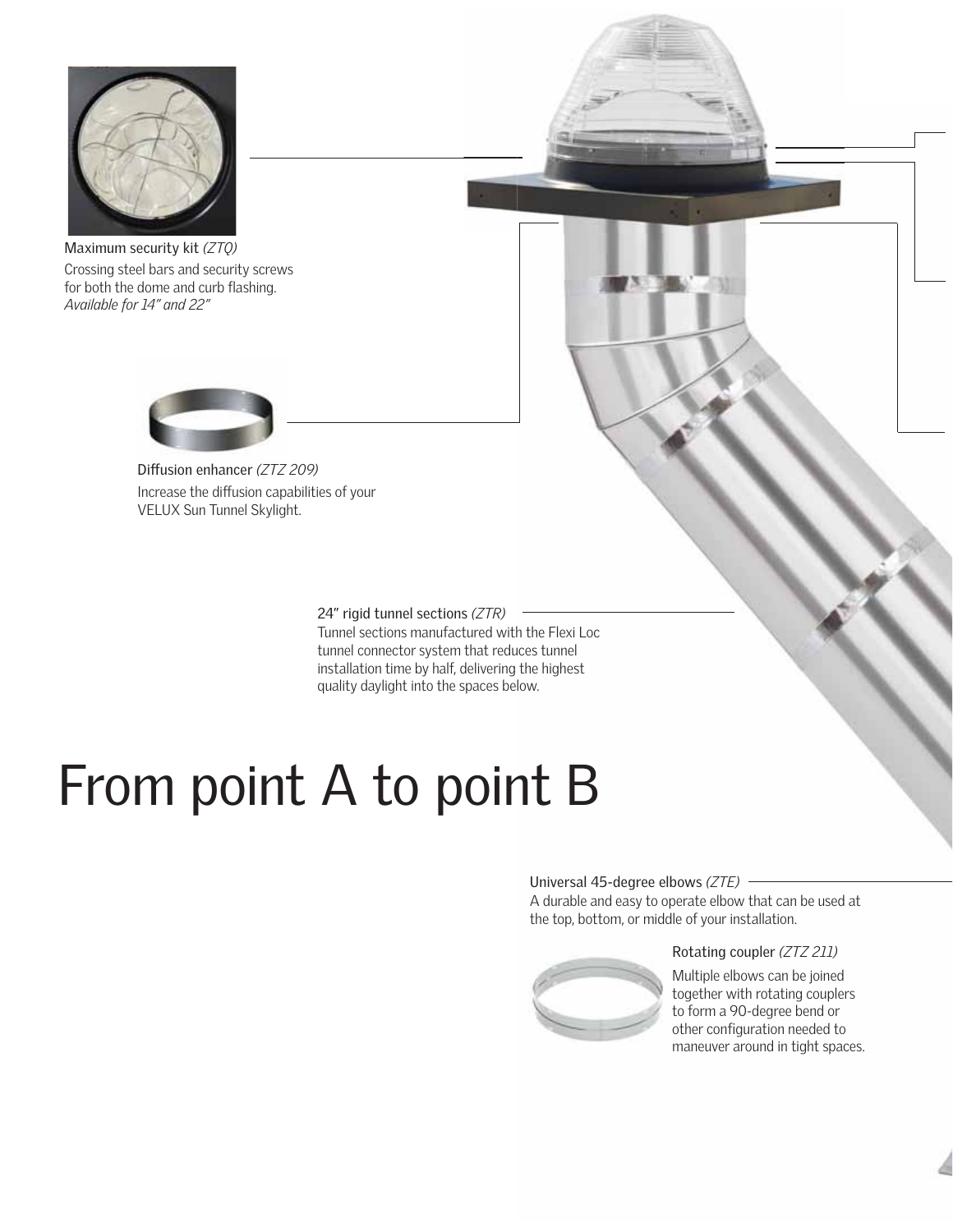

Maximum security kit *(ZTQ)*

Crossing steel bars and security screws for both the dome and curb flashing. *Available for 14" and 22"*



Increase the diffusion capabilities of your VELUX Sun Tunnel Skylight. Diffusion enhancer *(ZTZ 209)*

> Tunnel sections manufactured with the Flexi Loc tunnel connector system that reduces tunnel installation time by half, delivering the highest quality daylight into the spaces below. 24" rigid tunnel sections *(ZTR)*

## From point A to point B

Universal 45-degree elbows *(ZTE)*

A durable and easy to operate elbow that can be used at the top, bottom, or middle of your installation.



Rotating coupler *(ZTZ 211)*

Multiple elbows can be joined together with rotating couplers to form a 90-degree bend or other configuration needed to maneuver around in tight spaces.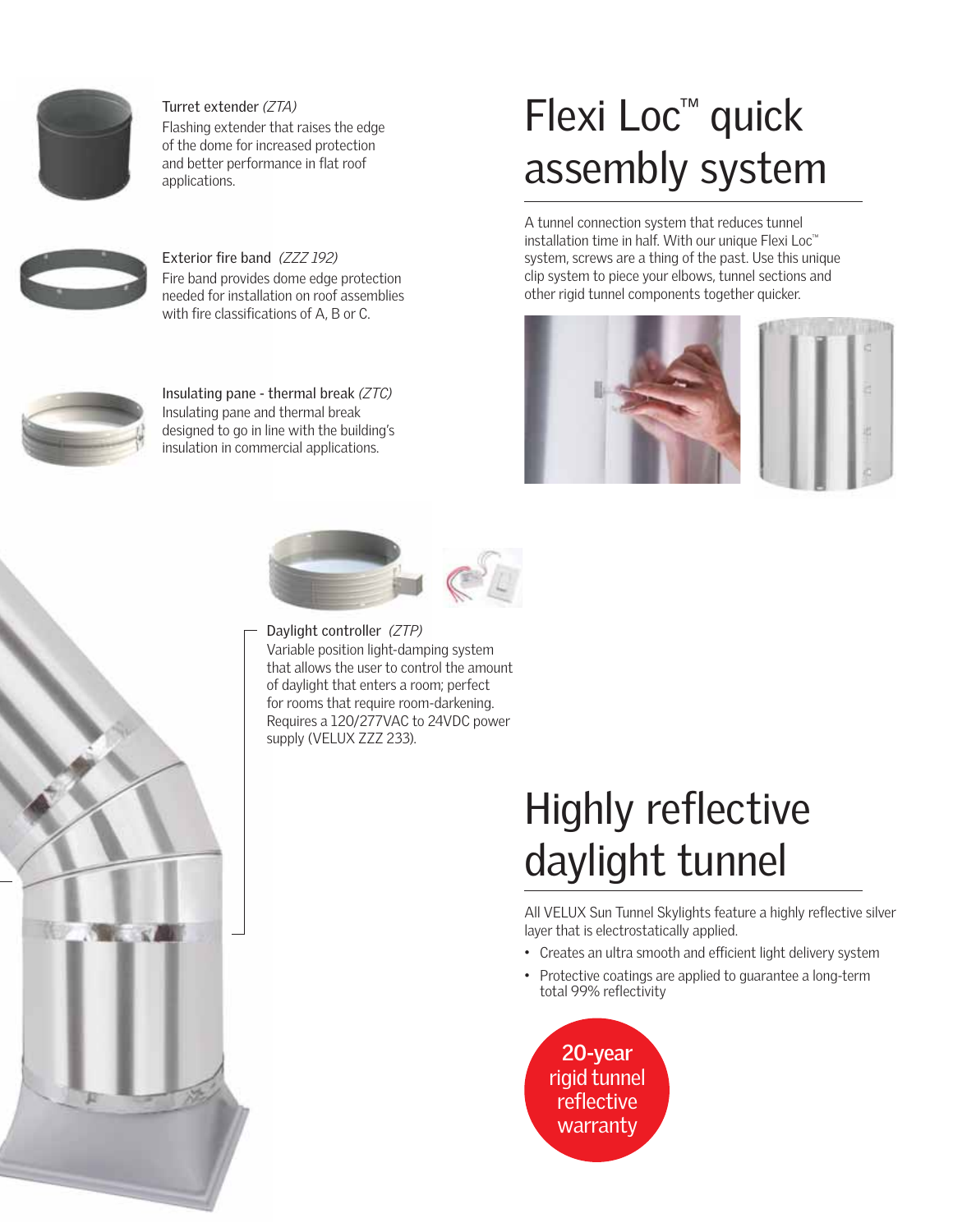

Flashing extender that raises the edge of the dome for increased protection and better performance in flat roof applications. Turret extender *(ZTA)*



Fire band provides dome edge protection needed for installation on roof assemblies with fire classifications of A, B or C. Exterior fire band *(ZZZ 192)*



Insulating pane and thermal break designed to go in line with the building's insulation in commercial applications. Insulating pane - thermal break *(ZTC)*

### Flexi Loc™ quick assembly system

A tunnel connection system that reduces tunnel installation time in half. With our unique Flexi Loc™ system, screws are a thing of the past. Use this unique clip system to piece your elbows, tunnel sections and other rigid tunnel components together quicker.







Variable position light-damping system that allows the user to control the amount of daylight that enters a room; perfect for rooms that require room-darkening. Requires a 120/277VAC to 24VDC power supply (VELUX ZZZ 233). Daylight controller *(ZTP)*

### Highly reflective daylight tunnel

All VELUX Sun Tunnel Skylights feature a highly reflective silver layer that is electrostatically applied.

- Creates an ultra smooth and efficient light delivery system
- Protective coatings are applied to guarantee a long-term total 99% reflectivity

**20-year** rigid tunnel reflective warranty

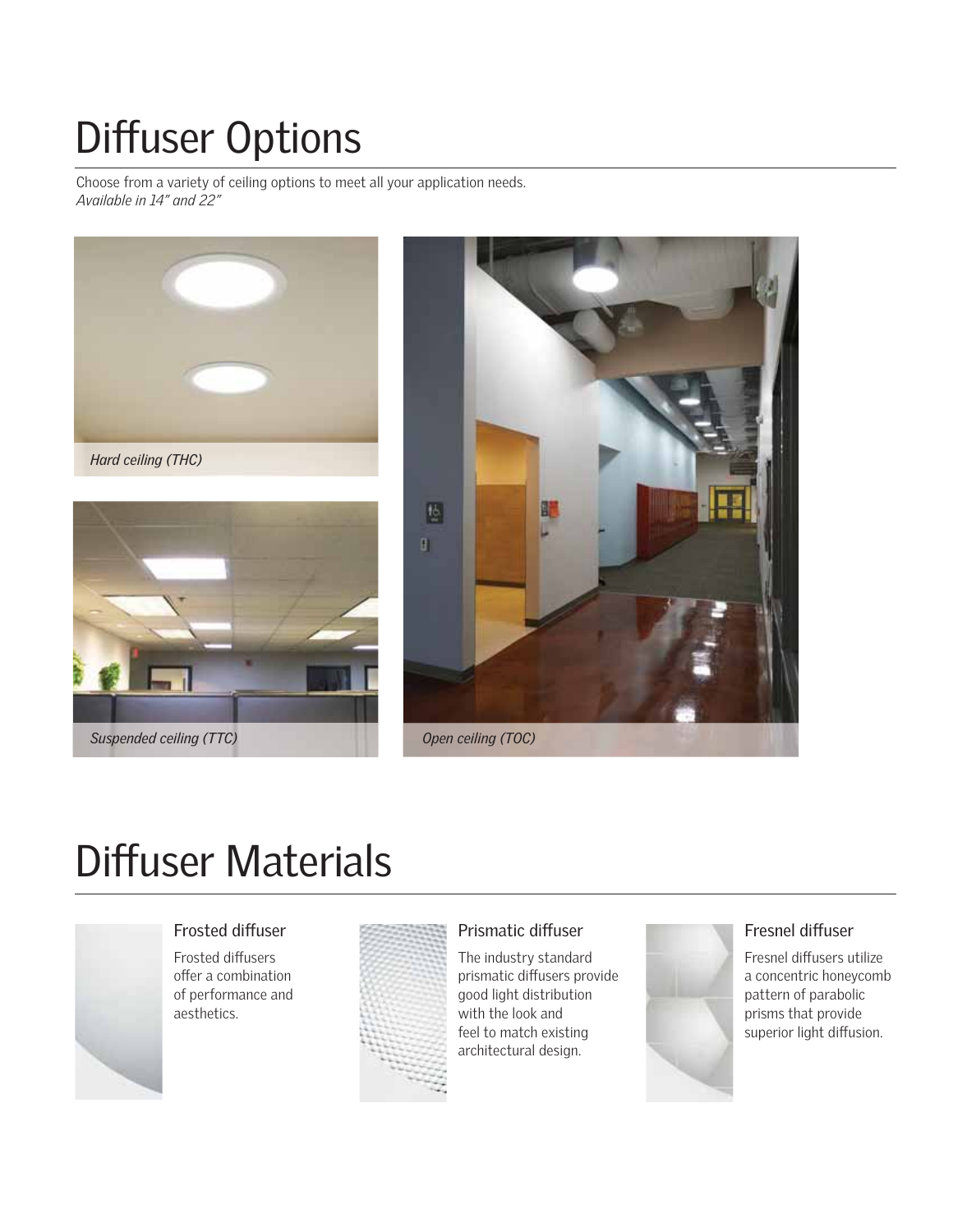### Diffuser Options

Choose from a variety of ceiling options to meet all your application needs. *Available in 14" and 22"*





### Diffuser Materials



### Frosted diffuser

Frosted diffusers offer a combination of performance and aesthetics.



#### Prismatic diffuser

The industry standard prismatic diffusers provide good light distribution with the look and feel to match existing architectural design.



#### Fresnel diffuser

Fresnel diffusers utilize a concentric honeycomb pattern of parabolic prisms that provide superior light diffusion.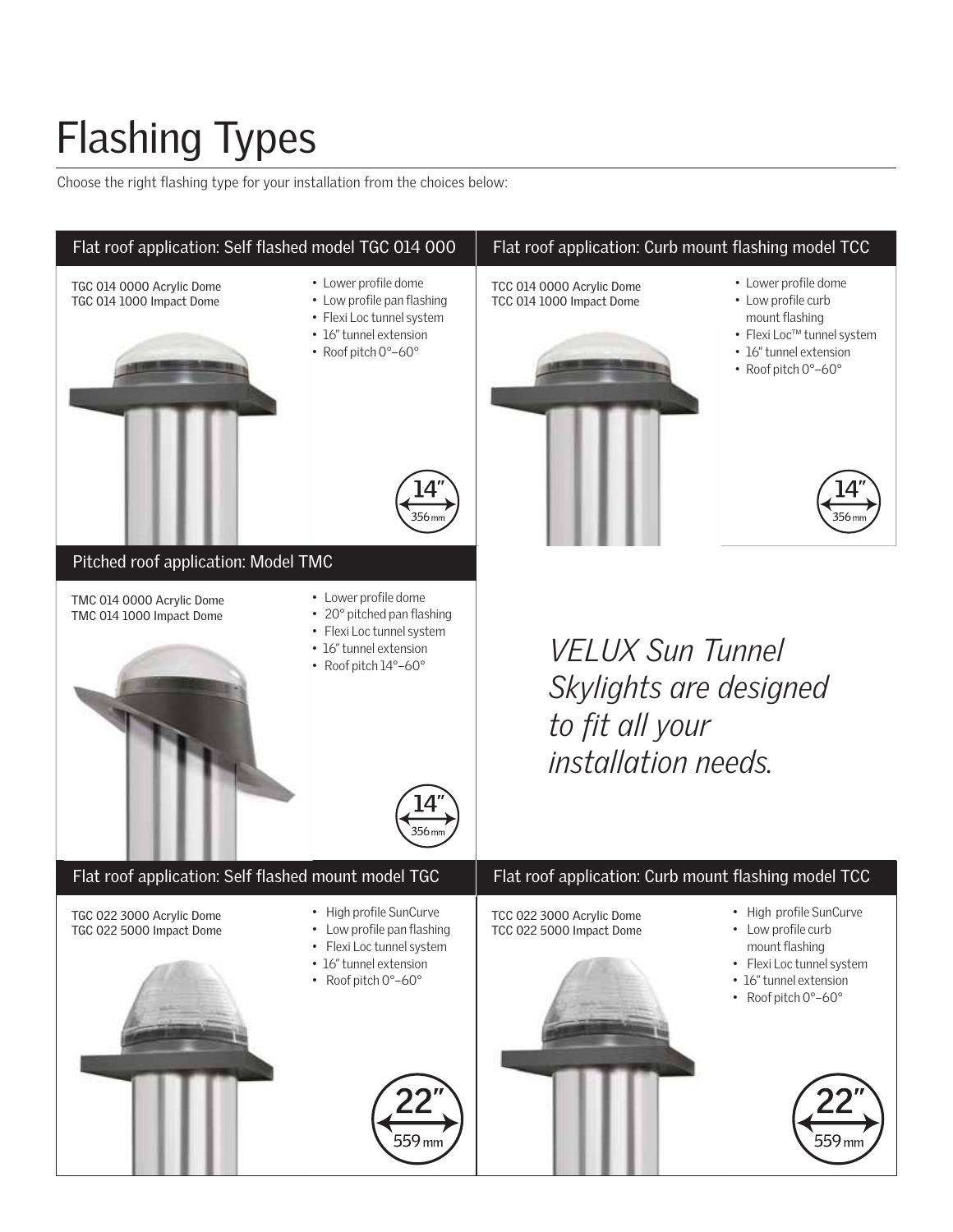### Flashing Types

Choose the right flashing type for your installation from the choices below:

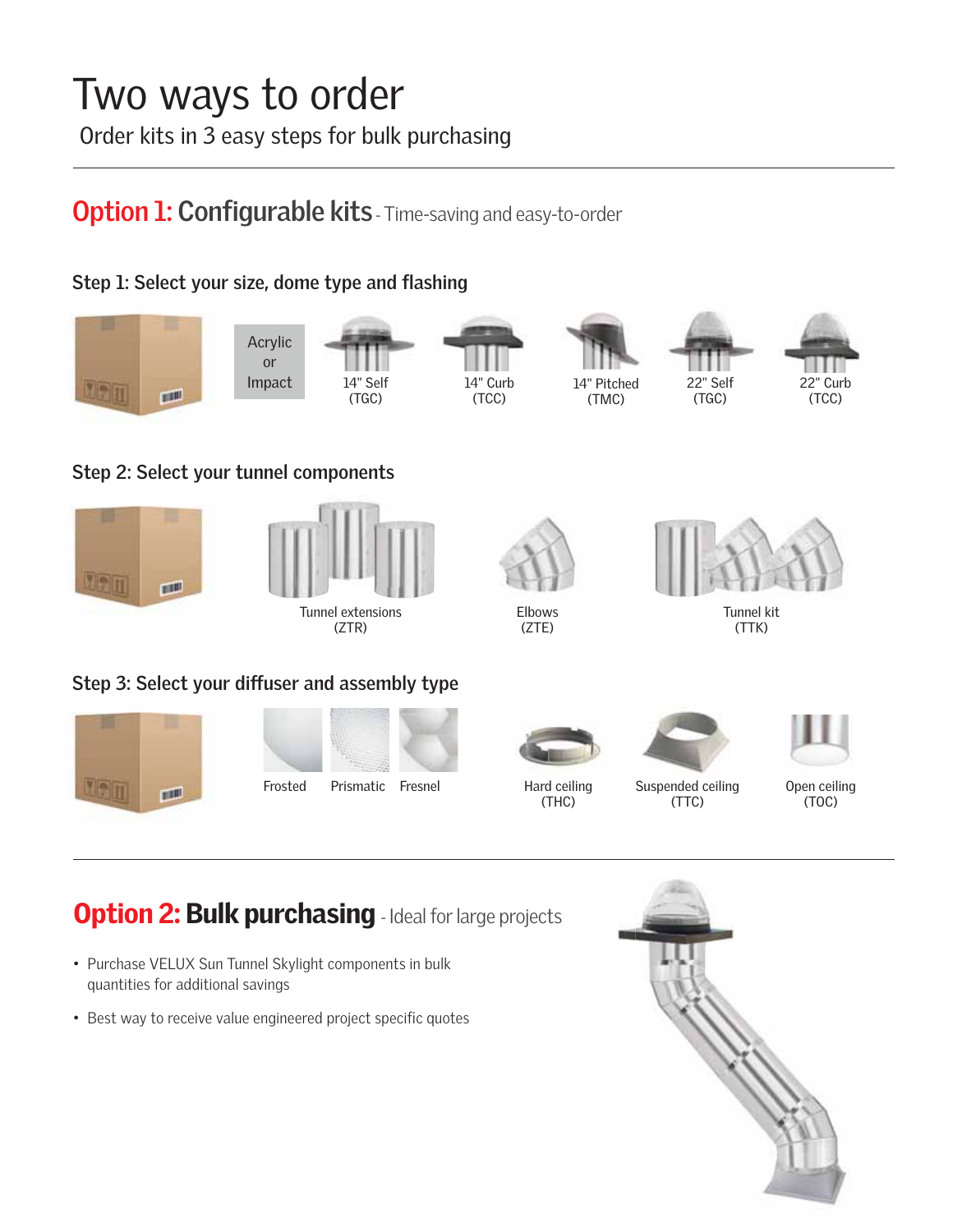Order kits in 3 easy steps for bulk purchasing

### **Option 1: Configurable kits** - Time-saving and easy-to-order

#### **Step 1: Select your size, dome type and flashing** Acrylic or Impact 14" Self 14" Curb 14" Pitched 22" Self 22" Curb 7 7 市 pull (TGC) (TCC) (TGC) (TCC) (TMC) **Step 2: Select your tunnel components** 2 7 円 **TIME** Tunnel extensions **Elbows** Elbows Tunnel kit (ZTR) (ZTE) (TTK) **Step 3: Select your diffuser and assembly type**  $770$ Frosted Prismatic Fresnel Hard ceiling Suspended ceiling Open ceiling **TIME** (THC) (TTC) (TOC) **Option 2: Bulk purchasing** - Ideal for large projects

- Purchase VELUX Sun Tunnel Skylight components in bulk quantities for additional savings
- Best way to receive value engineered project specific quotes